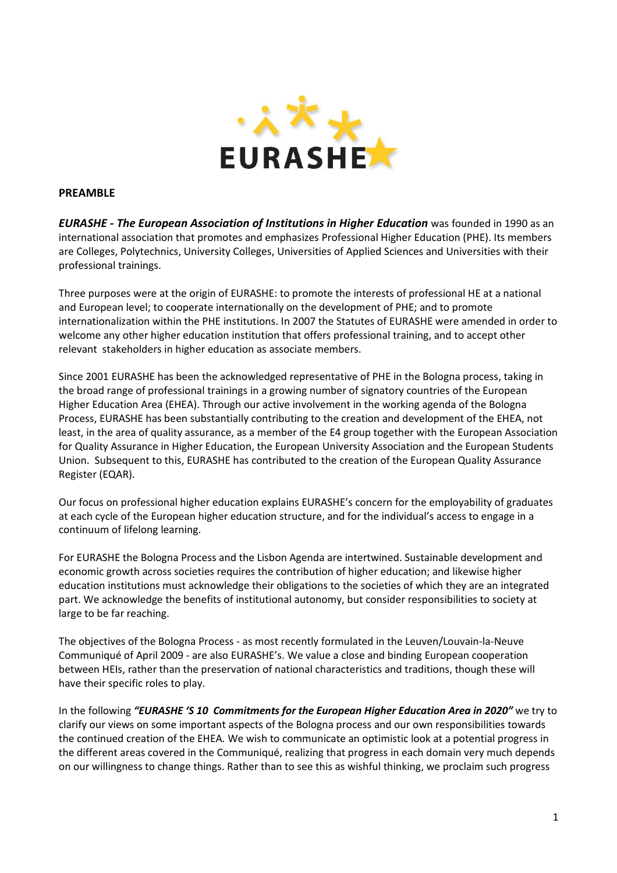

## PREAMBLE

**EURASHE - The European Association of Institutions in Higher Education** was founded in 1990 as an international association that promotes and emphasizes Professional Higher Education (PHE). Its members are Colleges, Polytechnics, University Colleges, Universities of Applied Sciences and Universities with their professional trainings.

Three purposes were at the origin of EURASHE: to promote the interests of professional HE at a national and European level; to cooperate internationally on the development of PHE; and to promote internationalization within the PHE institutions. In 2007 the Statutes of EURASHE were amended in order to welcome any other higher education institution that offers professional training, and to accept other relevant stakeholders in higher education as associate members.

Since 2001 EURASHE has been the acknowledged representative of PHE in the Bologna process, taking in the broad range of professional trainings in a growing number of signatory countries of the European Higher Education Area (EHEA). Through our active involvement in the working agenda of the Bologna Process, EURASHE has been substantially contributing to the creation and development of the EHEA, not least, in the area of quality assurance, as a member of the E4 group together with the European Association for Quality Assurance in Higher Education, the European University Association and the European Students Union. Subsequent to this, EURASHE has contributed to the creation of the European Quality Assurance Register (EQAR).

Our focus on professional higher education explains EURASHE's concern for the employability of graduates at each cycle of the European higher education structure, and for the individual's access to engage in a continuum of lifelong learning.

For EURASHE the Bologna Process and the Lisbon Agenda are intertwined. Sustainable development and economic growth across societies requires the contribution of higher education; and likewise higher education institutions must acknowledge their obligations to the societies of which they are an integrated part. We acknowledge the benefits of institutional autonomy, but consider responsibilities to society at large to be far reaching.

The objectives of the Bologna Process - as most recently formulated in the Leuven/Louvain-la-Neuve Communiqué of April 2009 - are also EURASHE's. We value a close and binding European cooperation between HEIs, rather than the preservation of national characteristics and traditions, though these will have their specific roles to play.

In the following "EURASHE 'S 10 Commitments for the European Higher Education Area in 2020" we try to clarify our views on some important aspects of the Bologna process and our own responsibilities towards the continued creation of the EHEA. We wish to communicate an optimistic look at a potential progress in the different areas covered in the Communiqué, realizing that progress in each domain very much depends on our willingness to change things. Rather than to see this as wishful thinking, we proclaim such progress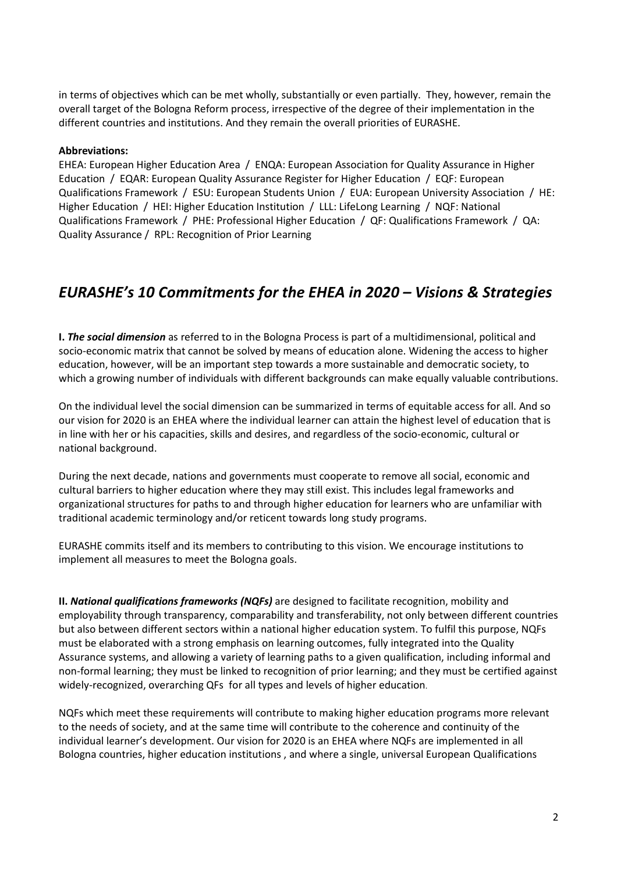in terms of objectives which can be met wholly, substantially or even partially. They, however, remain the overall target of the Bologna Reform process, irrespective of the degree of their implementation in the different countries and institutions. And they remain the overall priorities of EURASHE.

## Abbreviations:

EHEA: European Higher Education Area / ENQA: European Association for Quality Assurance in Higher Education / EQAR: European Quality Assurance Register for Higher Education / EQF: European Qualifications Framework / ESU: European Students Union / EUA: European University Association / HE: Higher Education / HEI: Higher Education Institution / LLL: LifeLong Learning / NQF: National Qualifications Framework / PHE: Professional Higher Education / QF: Qualifications Framework / QA: Quality Assurance / RPL: Recognition of Prior Learning

## EURASHE's 10 Commitments for the EHEA in 2020 – Visions & Strategies

I. The social dimension as referred to in the Bologna Process is part of a multidimensional, political and socio-economic matrix that cannot be solved by means of education alone. Widening the access to higher education, however, will be an important step towards a more sustainable and democratic society, to which a growing number of individuals with different backgrounds can make equally valuable contributions.

On the individual level the social dimension can be summarized in terms of equitable access for all. And so our vision for 2020 is an EHEA where the individual learner can attain the highest level of education that is in line with her or his capacities, skills and desires, and regardless of the socio-economic, cultural or national background.

During the next decade, nations and governments must cooperate to remove all social, economic and cultural barriers to higher education where they may still exist. This includes legal frameworks and organizational structures for paths to and through higher education for learners who are unfamiliar with traditional academic terminology and/or reticent towards long study programs.

EURASHE commits itself and its members to contributing to this vision. We encourage institutions to implement all measures to meet the Bologna goals.

II. National qualifications frameworks (NQFs) are designed to facilitate recognition, mobility and employability through transparency, comparability and transferability, not only between different countries but also between different sectors within a national higher education system. To fulfil this purpose, NQFs must be elaborated with a strong emphasis on learning outcomes, fully integrated into the Quality Assurance systems, and allowing a variety of learning paths to a given qualification, including informal and non-formal learning; they must be linked to recognition of prior learning; and they must be certified against widely-recognized, overarching QFs for all types and levels of higher education.

NQFs which meet these requirements will contribute to making higher education programs more relevant to the needs of society, and at the same time will contribute to the coherence and continuity of the individual learner's development. Our vision for 2020 is an EHEA where NQFs are implemented in all Bologna countries, higher education institutions , and where a single, universal European Qualifications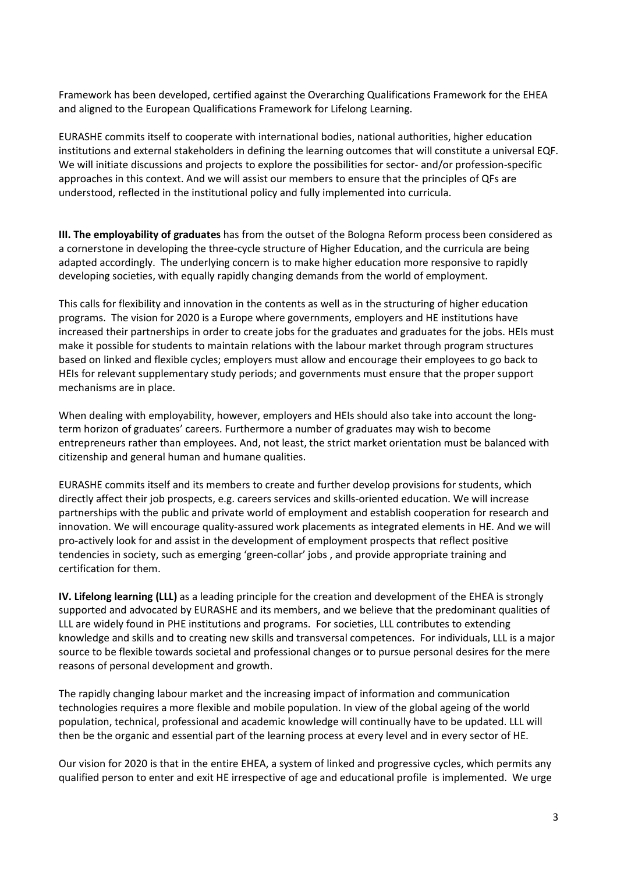Framework has been developed, certified against the Overarching Qualifications Framework for the EHEA and aligned to the European Qualifications Framework for Lifelong Learning.

EURASHE commits itself to cooperate with international bodies, national authorities, higher education institutions and external stakeholders in defining the learning outcomes that will constitute a universal EQF. We will initiate discussions and projects to explore the possibilities for sector- and/or profession-specific approaches in this context. And we will assist our members to ensure that the principles of QFs are understood, reflected in the institutional policy and fully implemented into curricula.

III. The employability of graduates has from the outset of the Bologna Reform process been considered as a cornerstone in developing the three-cycle structure of Higher Education, and the curricula are being adapted accordingly. The underlying concern is to make higher education more responsive to rapidly developing societies, with equally rapidly changing demands from the world of employment.

This calls for flexibility and innovation in the contents as well as in the structuring of higher education programs. The vision for 2020 is a Europe where governments, employers and HE institutions have increased their partnerships in order to create jobs for the graduates and graduates for the jobs. HEIs must make it possible for students to maintain relations with the labour market through program structures based on linked and flexible cycles; employers must allow and encourage their employees to go back to HEIs for relevant supplementary study periods; and governments must ensure that the proper support mechanisms are in place.

When dealing with employability, however, employers and HEIs should also take into account the longterm horizon of graduates' careers. Furthermore a number of graduates may wish to become entrepreneurs rather than employees. And, not least, the strict market orientation must be balanced with citizenship and general human and humane qualities.

EURASHE commits itself and its members to create and further develop provisions for students, which directly affect their job prospects, e.g. careers services and skills-oriented education. We will increase partnerships with the public and private world of employment and establish cooperation for research and innovation. We will encourage quality-assured work placements as integrated elements in HE. And we will pro-actively look for and assist in the development of employment prospects that reflect positive tendencies in society, such as emerging 'green-collar' jobs , and provide appropriate training and certification for them.

IV. Lifelong learning (LLL) as a leading principle for the creation and development of the EHEA is strongly supported and advocated by EURASHE and its members, and we believe that the predominant qualities of LLL are widely found in PHE institutions and programs. For societies, LLL contributes to extending knowledge and skills and to creating new skills and transversal competences. For individuals, LLL is a major source to be flexible towards societal and professional changes or to pursue personal desires for the mere reasons of personal development and growth.

The rapidly changing labour market and the increasing impact of information and communication technologies requires a more flexible and mobile population. In view of the global ageing of the world population, technical, professional and academic knowledge will continually have to be updated. LLL will then be the organic and essential part of the learning process at every level and in every sector of HE.

Our vision for 2020 is that in the entire EHEA, a system of linked and progressive cycles, which permits any qualified person to enter and exit HE irrespective of age and educational profile is implemented. We urge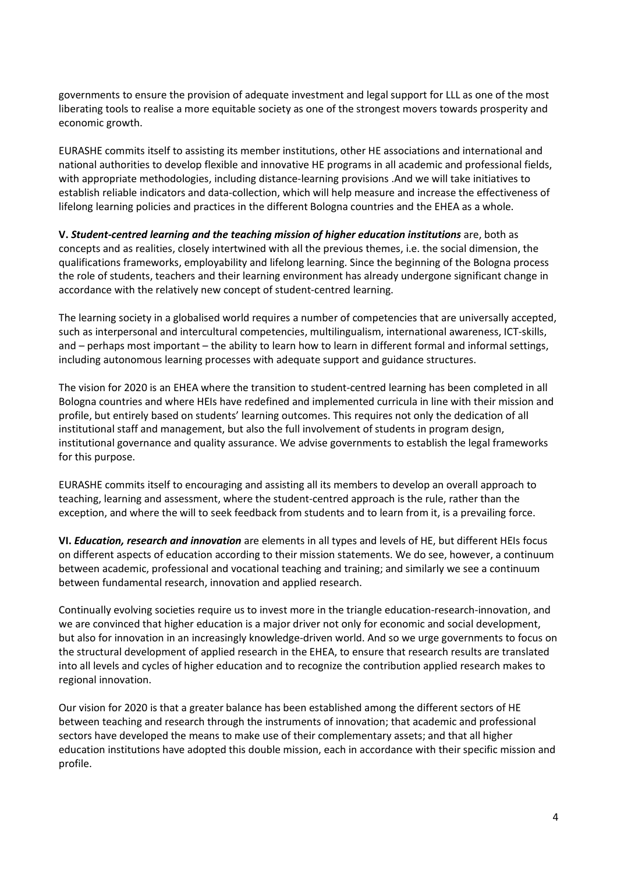governments to ensure the provision of adequate investment and legal support for LLL as one of the most liberating tools to realise a more equitable society as one of the strongest movers towards prosperity and economic growth.

EURASHE commits itself to assisting its member institutions, other HE associations and international and national authorities to develop flexible and innovative HE programs in all academic and professional fields, with appropriate methodologies, including distance-learning provisions .And we will take initiatives to establish reliable indicators and data-collection, which will help measure and increase the effectiveness of lifelong learning policies and practices in the different Bologna countries and the EHEA as a whole.

V. Student-centred learning and the teaching mission of higher education institutions are, both as concepts and as realities, closely intertwined with all the previous themes, i.e. the social dimension, the qualifications frameworks, employability and lifelong learning. Since the beginning of the Bologna process the role of students, teachers and their learning environment has already undergone significant change in accordance with the relatively new concept of student-centred learning.

The learning society in a globalised world requires a number of competencies that are universally accepted, such as interpersonal and intercultural competencies, multilingualism, international awareness, ICT-skills, and – perhaps most important – the ability to learn how to learn in different formal and informal settings, including autonomous learning processes with adequate support and guidance structures.

The vision for 2020 is an EHEA where the transition to student-centred learning has been completed in all Bologna countries and where HEIs have redefined and implemented curricula in line with their mission and profile, but entirely based on students' learning outcomes. This requires not only the dedication of all institutional staff and management, but also the full involvement of students in program design, institutional governance and quality assurance. We advise governments to establish the legal frameworks for this purpose.

EURASHE commits itself to encouraging and assisting all its members to develop an overall approach to teaching, learning and assessment, where the student-centred approach is the rule, rather than the exception, and where the will to seek feedback from students and to learn from it, is a prevailing force.

VI. Education, research and innovation are elements in all types and levels of HE, but different HEIs focus on different aspects of education according to their mission statements. We do see, however, a continuum between academic, professional and vocational teaching and training; and similarly we see a continuum between fundamental research, innovation and applied research.

Continually evolving societies require us to invest more in the triangle education-research-innovation, and we are convinced that higher education is a major driver not only for economic and social development, but also for innovation in an increasingly knowledge-driven world. And so we urge governments to focus on the structural development of applied research in the EHEA, to ensure that research results are translated into all levels and cycles of higher education and to recognize the contribution applied research makes to regional innovation.

Our vision for 2020 is that a greater balance has been established among the different sectors of HE between teaching and research through the instruments of innovation; that academic and professional sectors have developed the means to make use of their complementary assets; and that all higher education institutions have adopted this double mission, each in accordance with their specific mission and profile.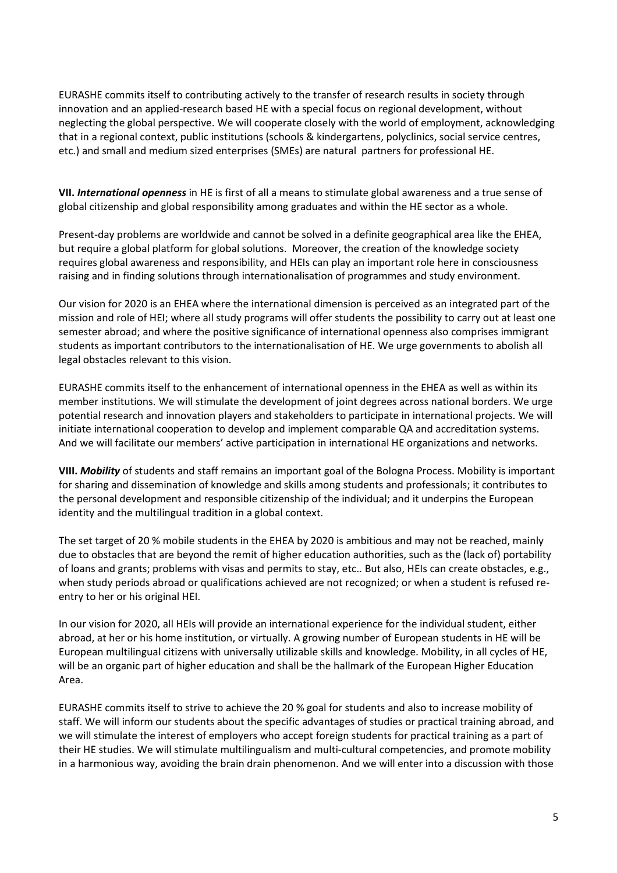EURASHE commits itself to contributing actively to the transfer of research results in society through innovation and an applied-research based HE with a special focus on regional development, without neglecting the global perspective. We will cooperate closely with the world of employment, acknowledging that in a regional context, public institutions (schools & kindergartens, polyclinics, social service centres, etc.) and small and medium sized enterprises (SMEs) are natural partners for professional HE.

VII. International openness in HE is first of all a means to stimulate global awareness and a true sense of global citizenship and global responsibility among graduates and within the HE sector as a whole.

Present-day problems are worldwide and cannot be solved in a definite geographical area like the EHEA, but require a global platform for global solutions. Moreover, the creation of the knowledge society requires global awareness and responsibility, and HEIs can play an important role here in consciousness raising and in finding solutions through internationalisation of programmes and study environment.

Our vision for 2020 is an EHEA where the international dimension is perceived as an integrated part of the mission and role of HEI; where all study programs will offer students the possibility to carry out at least one semester abroad; and where the positive significance of international openness also comprises immigrant students as important contributors to the internationalisation of HE. We urge governments to abolish all legal obstacles relevant to this vision.

EURASHE commits itself to the enhancement of international openness in the EHEA as well as within its member institutions. We will stimulate the development of joint degrees across national borders. We urge potential research and innovation players and stakeholders to participate in international projects. We will initiate international cooperation to develop and implement comparable QA and accreditation systems. And we will facilitate our members' active participation in international HE organizations and networks.

VIII. Mobility of students and staff remains an important goal of the Bologna Process. Mobility is important for sharing and dissemination of knowledge and skills among students and professionals; it contributes to the personal development and responsible citizenship of the individual; and it underpins the European identity and the multilingual tradition in a global context.

The set target of 20 % mobile students in the EHEA by 2020 is ambitious and may not be reached, mainly due to obstacles that are beyond the remit of higher education authorities, such as the (lack of) portability of loans and grants; problems with visas and permits to stay, etc.. But also, HEIs can create obstacles, e.g., when study periods abroad or qualifications achieved are not recognized; or when a student is refused reentry to her or his original HEI.

In our vision for 2020, all HEIs will provide an international experience for the individual student, either abroad, at her or his home institution, or virtually. A growing number of European students in HE will be European multilingual citizens with universally utilizable skills and knowledge. Mobility, in all cycles of HE, will be an organic part of higher education and shall be the hallmark of the European Higher Education Area.

EURASHE commits itself to strive to achieve the 20 % goal for students and also to increase mobility of staff. We will inform our students about the specific advantages of studies or practical training abroad, and we will stimulate the interest of employers who accept foreign students for practical training as a part of their HE studies. We will stimulate multilingualism and multi-cultural competencies, and promote mobility in a harmonious way, avoiding the brain drain phenomenon. And we will enter into a discussion with those